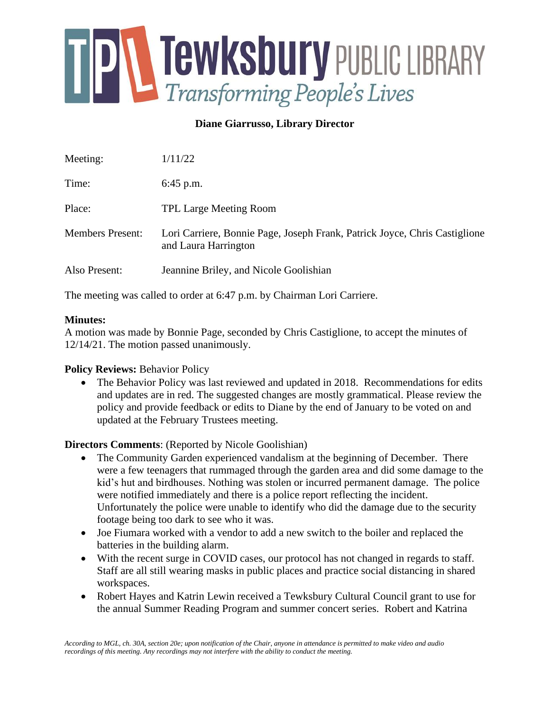

# **Diane Giarrusso, Library Director**

| Meeting:                | 1/11/22                                                                                            |
|-------------------------|----------------------------------------------------------------------------------------------------|
| Time:                   | $6:45$ p.m.                                                                                        |
| Place:                  | <b>TPL Large Meeting Room</b>                                                                      |
| <b>Members Present:</b> | Lori Carriere, Bonnie Page, Joseph Frank, Patrick Joyce, Chris Castiglione<br>and Laura Harrington |
| Also Present:           | Jeannine Briley, and Nicole Goolishian                                                             |

The meeting was called to order at 6:47 p.m. by Chairman Lori Carriere.

### **Minutes:**

A motion was made by Bonnie Page, seconded by Chris Castiglione, to accept the minutes of 12/14/21. The motion passed unanimously.

### **Policy Reviews:** Behavior Policy

• The Behavior Policy was last reviewed and updated in 2018. Recommendations for edits and updates are in red. The suggested changes are mostly grammatical. Please review the policy and provide feedback or edits to Diane by the end of January to be voted on and updated at the February Trustees meeting.

## **Directors Comments**: (Reported by Nicole Goolishian)

- The Community Garden experienced vandalism at the beginning of December. There were a few teenagers that rummaged through the garden area and did some damage to the kid's hut and birdhouses. Nothing was stolen or incurred permanent damage. The police were notified immediately and there is a police report reflecting the incident. Unfortunately the police were unable to identify who did the damage due to the security footage being too dark to see who it was.
- Joe Fiumara worked with a vendor to add a new switch to the boiler and replaced the batteries in the building alarm.
- With the recent surge in COVID cases, our protocol has not changed in regards to staff. Staff are all still wearing masks in public places and practice social distancing in shared workspaces.
- Robert Hayes and Katrin Lewin received a Tewksbury Cultural Council grant to use for the annual Summer Reading Program and summer concert series. Robert and Katrina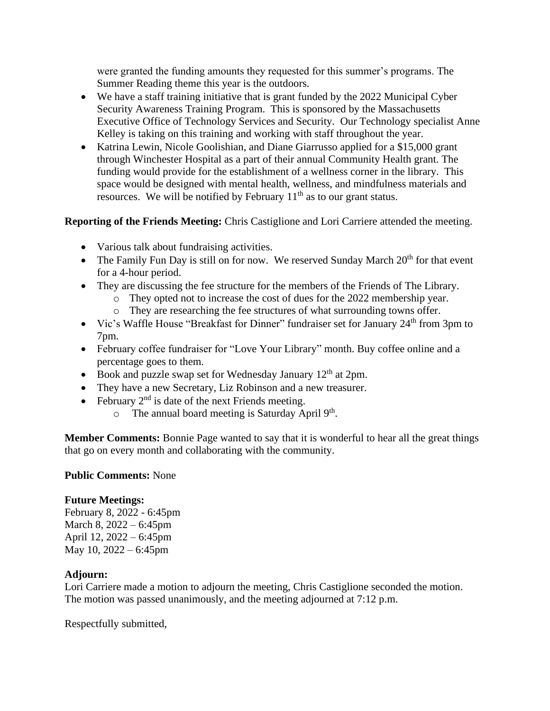were granted the funding amounts they requested for this summer's programs. The Summer Reading theme this year is the outdoors.

- We have a staff training initiative that is grant funded by the 2022 Municipal Cyber Security Awareness Training Program. This is sponsored by the Massachusetts Executive Office of Technology Services and Security. Our Technology specialist Anne Kelley is taking on this training and working with staff throughout the year.
- Katrina Lewin, Nicole Goolishian, and Diane Giarrusso applied for a \$15,000 grant through Winchester Hospital as a part of their annual Community Health grant. The funding would provide for the establishment of a wellness corner in the library. This space would be designed with mental health, wellness, and mindfulness materials and resources. We will be notified by February  $11<sup>th</sup>$  as to our grant status.

**Reporting of the Friends Meeting:** Chris Castiglione and Lori Carriere attended the meeting.

- Various talk about fundraising activities.
- The Family Fun Day is still on for now. We reserved Sunday March  $20<sup>th</sup>$  for that event for a 4-hour period.
- They are discussing the fee structure for the members of the Friends of The Library.
	- o They opted not to increase the cost of dues for the 2022 membership year.
	- o They are researching the fee structures of what surrounding towns offer.
- Vic's Waffle House "Breakfast for Dinner" fundraiser set for January 24<sup>th</sup> from 3pm to 7pm.
- February coffee fundraiser for "Love Your Library" month. Buy coffee online and a percentage goes to them.
- Book and puzzle swap set for Wednesday January  $12<sup>th</sup>$  at 2pm.
- They have a new Secretary, Liz Robinson and a new treasurer.
- February  $2<sup>nd</sup>$  is date of the next Friends meeting.
	- $\circ$  The annual board meeting is Saturday April 9<sup>th</sup>.

**Member Comments:** Bonnie Page wanted to say that it is wonderful to hear all the great things that go on every month and collaborating with the community.

## **Public Comments:** None

## **Future Meetings:**

February 8, 2022 - 6:45pm March 8, 2022 – 6:45pm April 12, 2022 – 6:45pm May 10, 2022 – 6:45pm

## **Adjourn:**

Lori Carriere made a motion to adjourn the meeting, Chris Castiglione seconded the motion. The motion was passed unanimously, and the meeting adjourned at 7:12 p.m.

Respectfully submitted,